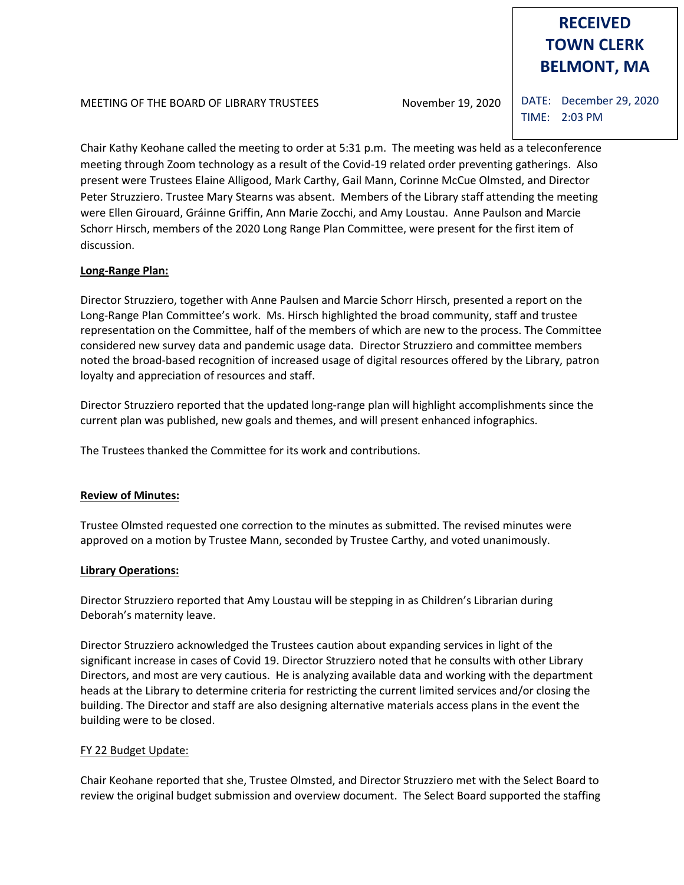# **RECEIVED TOWN CLERK BELMONT, MA**

MEETING OF THE BOARD OF LIBRARY TRUSTEES November 19, 2020

DATE: December 29, 2020 TIME: 2:03 PM

Chair Kathy Keohane called the meeting to order at 5:31 p.m. The meeting was held as a teleconference meeting through Zoom technology as a result of the Covid-19 related order preventing gatherings. Also present were Trustees Elaine Alligood, Mark Carthy, Gail Mann, Corinne McCue Olmsted, and Director Peter Struzziero. Trustee Mary Stearns was absent. Members of the Library staff attending the meeting were Ellen Girouard, Gráinne Griffin, Ann Marie Zocchi, and Amy Loustau. Anne Paulson and Marcie Schorr Hirsch, members of the 2020 Long Range Plan Committee, were present for the first item of discussion.

# **Long-Range Plan:**

Director Struzziero, together with Anne Paulsen and Marcie Schorr Hirsch, presented a report on the Long-Range Plan Committee's work. Ms. Hirsch highlighted the broad community, staff and trustee representation on the Committee, half of the members of which are new to the process. The Committee considered new survey data and pandemic usage data. Director Struzziero and committee members noted the broad-based recognition of increased usage of digital resources offered by the Library, patron loyalty and appreciation of resources and staff.

Director Struzziero reported that the updated long-range plan will highlight accomplishments since the current plan was published, new goals and themes, and will present enhanced infographics.

The Trustees thanked the Committee for its work and contributions.

# **Review of Minutes:**

Trustee Olmsted requested one correction to the minutes as submitted. The revised minutes were approved on a motion by Trustee Mann, seconded by Trustee Carthy, and voted unanimously.

#### **Library Operations:**

Director Struzziero reported that Amy Loustau will be stepping in as Children's Librarian during Deborah's maternity leave.

Director Struzziero acknowledged the Trustees caution about expanding services in light of the significant increase in cases of Covid 19. Director Struzziero noted that he consults with other Library Directors, and most are very cautious. He is analyzing available data and working with the department heads at the Library to determine criteria for restricting the current limited services and/or closing the building. The Director and staff are also designing alternative materials access plans in the event the building were to be closed.

# FY 22 Budget Update:

Chair Keohane reported that she, Trustee Olmsted, and Director Struzziero met with the Select Board to review the original budget submission and overview document. The Select Board supported the staffing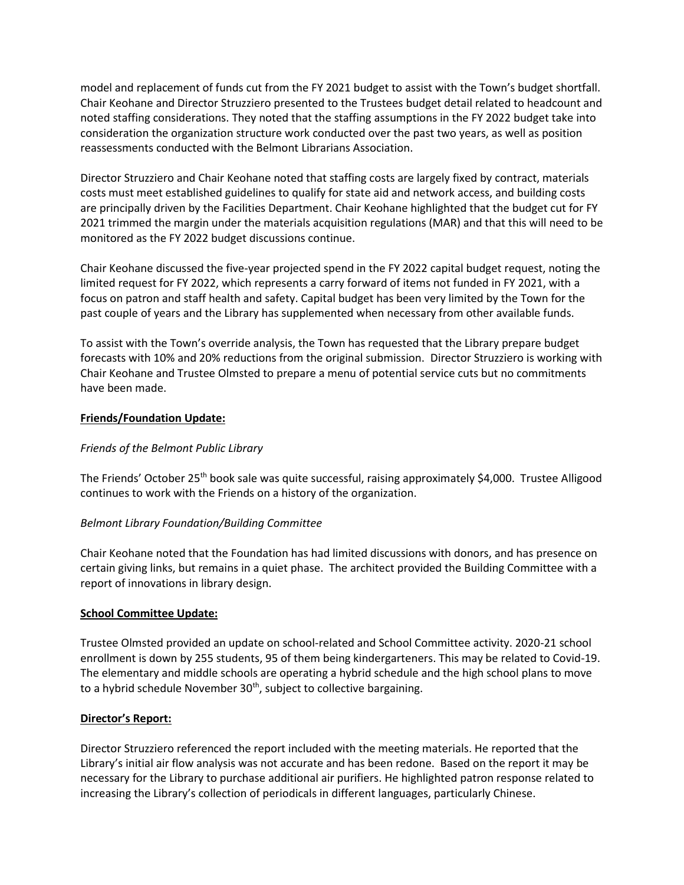model and replacement of funds cut from the FY 2021 budget to assist with the Town's budget shortfall. Chair Keohane and Director Struzziero presented to the Trustees budget detail related to headcount and noted staffing considerations. They noted that the staffing assumptions in the FY 2022 budget take into consideration the organization structure work conducted over the past two years, as well as position reassessments conducted with the Belmont Librarians Association.

Director Struzziero and Chair Keohane noted that staffing costs are largely fixed by contract, materials costs must meet established guidelines to qualify for state aid and network access, and building costs are principally driven by the Facilities Department. Chair Keohane highlighted that the budget cut for FY 2021 trimmed the margin under the materials acquisition regulations (MAR) and that this will need to be monitored as the FY 2022 budget discussions continue.

Chair Keohane discussed the five-year projected spend in the FY 2022 capital budget request, noting the limited request for FY 2022, which represents a carry forward of items not funded in FY 2021, with a focus on patron and staff health and safety. Capital budget has been very limited by the Town for the past couple of years and the Library has supplemented when necessary from other available funds.

To assist with the Town's override analysis, the Town has requested that the Library prepare budget forecasts with 10% and 20% reductions from the original submission. Director Struzziero is working with Chair Keohane and Trustee Olmsted to prepare a menu of potential service cuts but no commitments have been made.

#### **Friends/Foundation Update:**

### *Friends of the Belmont Public Library*

The Friends' October 25<sup>th</sup> book sale was quite successful, raising approximately \$4,000. Trustee Alligood continues to work with the Friends on a history of the organization.

#### *Belmont Library Foundation/Building Committee*

Chair Keohane noted that the Foundation has had limited discussions with donors, and has presence on certain giving links, but remains in a quiet phase. The architect provided the Building Committee with a report of innovations in library design.

#### **School Committee Update:**

Trustee Olmsted provided an update on school-related and School Committee activity. 2020-21 school enrollment is down by 255 students, 95 of them being kindergarteners. This may be related to Covid-19. The elementary and middle schools are operating a hybrid schedule and the high school plans to move to a hybrid schedule November  $30<sup>th</sup>$ , subject to collective bargaining.

#### **Director's Report:**

Director Struzziero referenced the report included with the meeting materials. He reported that the Library's initial air flow analysis was not accurate and has been redone. Based on the report it may be necessary for the Library to purchase additional air purifiers. He highlighted patron response related to increasing the Library's collection of periodicals in different languages, particularly Chinese.